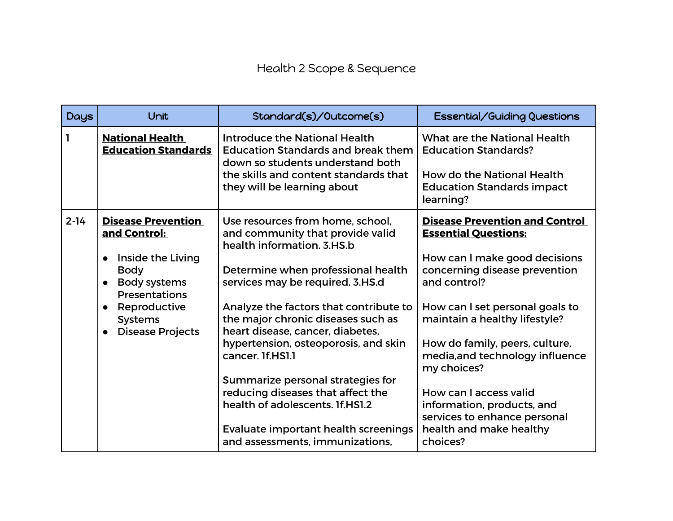| Days     | Unit                                                                                                                                                                                                             | Standard(s)/Outcome(s)                                                                                                                                                                                                                                                                                                                                                                                                                                                    | Essential/Guiding Questions                                                                                                                                                                                                                                                                                                                                            |
|----------|------------------------------------------------------------------------------------------------------------------------------------------------------------------------------------------------------------------|---------------------------------------------------------------------------------------------------------------------------------------------------------------------------------------------------------------------------------------------------------------------------------------------------------------------------------------------------------------------------------------------------------------------------------------------------------------------------|------------------------------------------------------------------------------------------------------------------------------------------------------------------------------------------------------------------------------------------------------------------------------------------------------------------------------------------------------------------------|
| 1        | <b>National Health</b><br><b>Education Standards</b>                                                                                                                                                             | <b>Introduce the National Health</b><br><b>Education Standards and break them</b><br>down so students understand both<br>the skills and content standards that<br>they will be learning about                                                                                                                                                                                                                                                                             | What are the National Health<br><b>Education Standards?</b><br>How do the National Health<br><b>Education Standards impact</b><br>learning?                                                                                                                                                                                                                            |
| $2 - 14$ | <b>Disease Prevention</b><br>and Control:<br><b>Inside the Living</b><br>$\bullet$<br><b>Body</b><br>• Body systems<br>Presentations<br><b>Reproductive</b><br>$\bullet$<br><b>Systems</b><br>• Disease Projects | Use resources from home, school,<br>and community that provide valid<br>health information, 3.HS.b<br>Determine when professional health<br>services may be required. 3.HS.d<br>Analyze the factors that contribute to<br>the major chronic diseases such as<br>heart disease, cancer, diabetes,<br>hypertension, osteoporosis, and skin<br>cancer. 1f.HS1.1<br>Summarize personal strategies for<br>reducing diseases that affect the<br>health of adolescents, If HS1.2 | <b>Disease Prevention and Control</b><br><b>Essential Questions:</b><br>How can I make good decisions<br>concerning disease prevention<br>and control?<br>How can I set personal goals to<br>maintain a healthy lifestyle?<br>How do family, peers, culture,<br>media, and technology influence<br>my choices?<br>How can I access valid<br>information, products, and |
|          |                                                                                                                                                                                                                  | Evaluate important health screenings<br>and assessments, immunizations,                                                                                                                                                                                                                                                                                                                                                                                                   | services to enhance personal<br>health and make healthy<br>choices?                                                                                                                                                                                                                                                                                                    |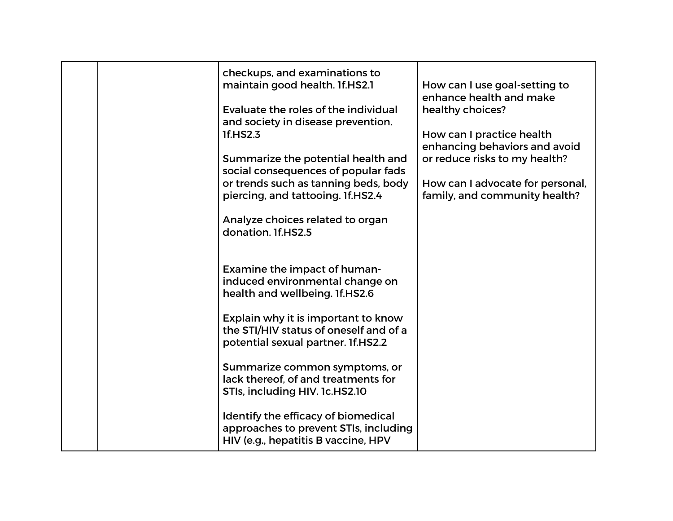|  | checkups, and examinations to<br>maintain good health. If.HS2.1<br>Evaluate the roles of the individual<br>and society in disease prevention.<br>1f.HS2.3<br>Summarize the potential health and<br>social consequences of popular fads<br>or trends such as tanning beds, body<br>piercing, and tattooing. If.HS2.4<br>Analyze choices related to organ<br>donation. If.HS2.5                                                                             | How can I use goal-setting to<br>enhance health and make<br>healthy choices?<br>How can I practice health<br>enhancing behaviors and avoid<br>or reduce risks to my health?<br>How can I advocate for personal,<br>family, and community health? |
|--|-----------------------------------------------------------------------------------------------------------------------------------------------------------------------------------------------------------------------------------------------------------------------------------------------------------------------------------------------------------------------------------------------------------------------------------------------------------|--------------------------------------------------------------------------------------------------------------------------------------------------------------------------------------------------------------------------------------------------|
|  | Examine the impact of human-<br>induced environmental change on<br>health and wellbeing. If.HS2.6<br>Explain why it is important to know<br>the STI/HIV status of oneself and of a<br>potential sexual partner. If.HS2.2<br>Summarize common symptoms, or<br>lack thereof, of and treatments for<br>STIs, including HIV. 1c.HS2.10<br>Identify the efficacy of biomedical<br>approaches to prevent STIs, including<br>HIV (e.g., hepatitis B vaccine, HPV |                                                                                                                                                                                                                                                  |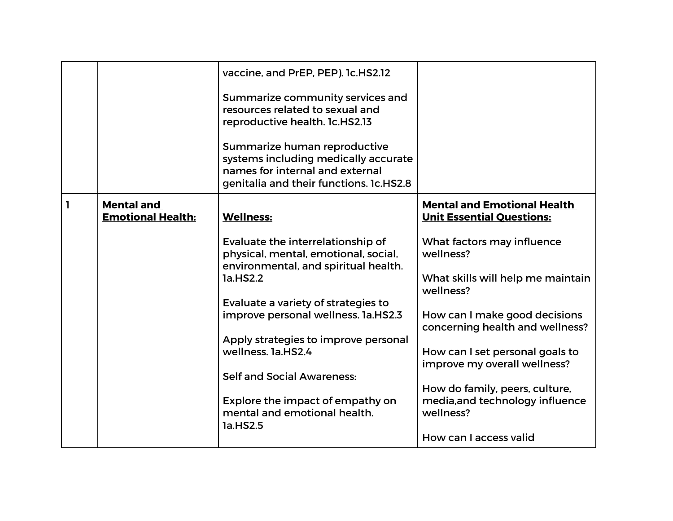|                                               | vaccine, and PrEP, PEP). 1c.HS2.12<br>Summarize community services and<br>resources related to sexual and<br>reproductive health. 1c.HS2.13<br>Summarize human reproductive<br>systems including medically accurate<br>names for internal and external<br>genitalia and their functions. 1c.HS2.8 |                                                                                |
|-----------------------------------------------|---------------------------------------------------------------------------------------------------------------------------------------------------------------------------------------------------------------------------------------------------------------------------------------------------|--------------------------------------------------------------------------------|
| <b>Mental and</b><br><b>Emotional Health:</b> | <b>Wellness:</b>                                                                                                                                                                                                                                                                                  | <b>Mental and Emotional Health</b><br><b>Unit Essential Questions:</b>         |
|                                               | Evaluate the interrelationship of<br>physical, mental, emotional, social,<br>environmental, and spiritual health.<br>1a.HS2.2                                                                                                                                                                     | What factors may influence<br>wellness?<br>What skills will help me maintain   |
|                                               | Evaluate a variety of strategies to<br>improve personal wellness. 1a.HS2.3                                                                                                                                                                                                                        | wellness?<br>How can I make good decisions                                     |
|                                               | Apply strategies to improve personal<br>wellness. 1a.HS2.4                                                                                                                                                                                                                                        | concerning health and wellness?<br>How can I set personal goals to             |
|                                               | <b>Self and Social Awareness:</b>                                                                                                                                                                                                                                                                 | improve my overall wellness?                                                   |
|                                               | Explore the impact of empathy on<br>mental and emotional health.<br>1a.HS2.5                                                                                                                                                                                                                      | How do family, peers, culture,<br>media, and technology influence<br>wellness? |
|                                               |                                                                                                                                                                                                                                                                                                   | How can I access valid                                                         |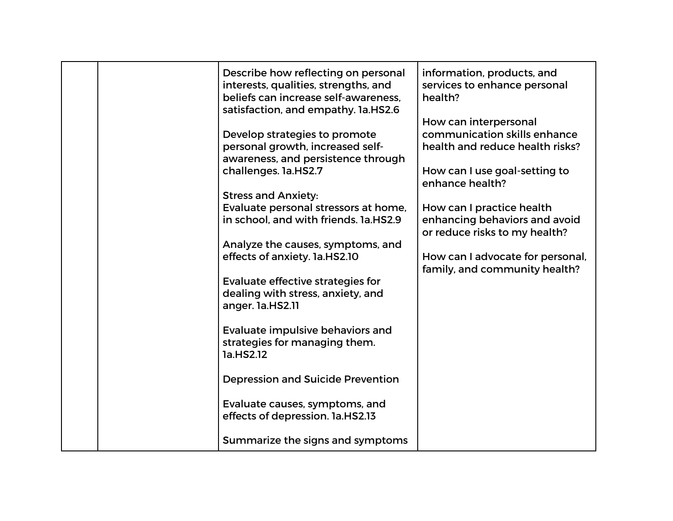|  | Describe how reflecting on personal<br>interests, qualities, strengths, and<br>beliefs can increase self-awareness.<br>satisfaction, and empathy. 1a.HS2.6 | information, products, and<br>services to enhance personal<br>health?<br>How can interpersonal                      |
|--|------------------------------------------------------------------------------------------------------------------------------------------------------------|---------------------------------------------------------------------------------------------------------------------|
|  | Develop strategies to promote<br>personal growth, increased self-<br>awareness, and persistence through<br>challenges. 1a.HS2.7                            | communication skills enhance<br>health and reduce health risks?<br>How can I use goal-setting to<br>enhance health? |
|  | <b>Stress and Anxiety:</b><br>Evaluate personal stressors at home,<br>in school, and with friends, 1a.HS2.9<br>Analyze the causes, symptoms, and           | How can I practice health<br>enhancing behaviors and avoid<br>or reduce risks to my health?                         |
|  | effects of anxiety. 1a.HS2.10<br>Evaluate effective strategies for<br>dealing with stress, anxiety, and<br>anger. la.HS2.11                                | How can I advocate for personal,<br>family, and community health?                                                   |
|  | Evaluate impulsive behaviors and<br>strategies for managing them.<br>1a.HS2.12                                                                             |                                                                                                                     |
|  | <b>Depression and Suicide Prevention</b><br>Evaluate causes, symptoms, and<br>effects of depression. 1a.HS2.13                                             |                                                                                                                     |
|  | Summarize the signs and symptoms                                                                                                                           |                                                                                                                     |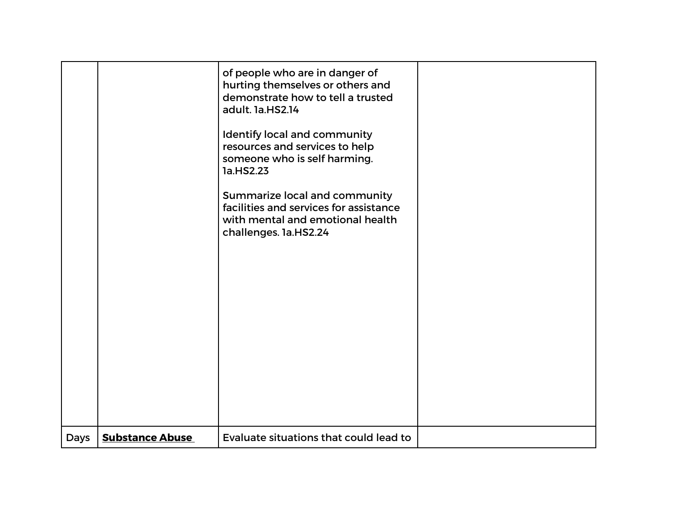|             |                        | of people who are in danger of<br>hurting themselves or others and<br>demonstrate how to tell a trusted<br>adult. 1a.HS2.14<br>Identify local and community<br>resources and services to help<br>someone who is self harming.<br>1a.HS2.23<br>Summarize local and community<br>facilities and services for assistance<br>with mental and emotional health<br>challenges. 1a.HS2.24 |  |
|-------------|------------------------|------------------------------------------------------------------------------------------------------------------------------------------------------------------------------------------------------------------------------------------------------------------------------------------------------------------------------------------------------------------------------------|--|
| <b>Days</b> | <b>Substance Abuse</b> | Evaluate situations that could lead to                                                                                                                                                                                                                                                                                                                                             |  |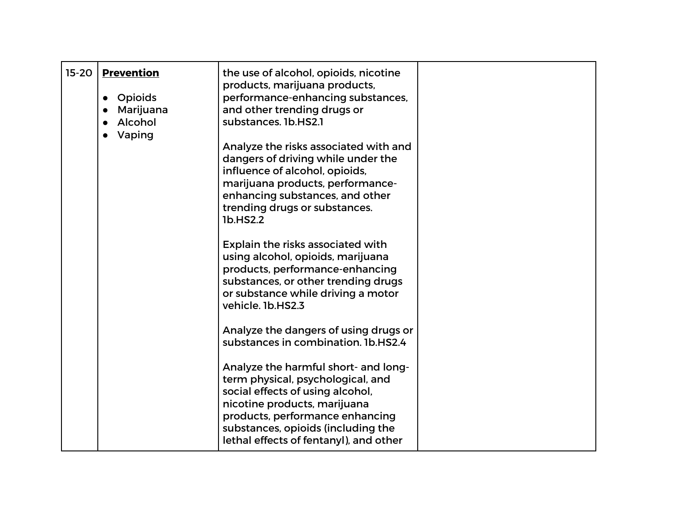| $15 - 20$ | <b>Prevention</b><br><b>Opioids</b><br>$\bullet$<br>Marijuana<br>Alcohol<br>Vaping | the use of alcohol, opioids, nicotine<br>products, marijuana products,<br>performance-enhancing substances,<br>and other trending drugs or<br>substances. 1b.HS2.1                                                                                               |  |
|-----------|------------------------------------------------------------------------------------|------------------------------------------------------------------------------------------------------------------------------------------------------------------------------------------------------------------------------------------------------------------|--|
|           |                                                                                    | Analyze the risks associated with and<br>dangers of driving while under the<br>influence of alcohol, opioids,<br>marijuana products, performance-<br>enhancing substances, and other<br>trending drugs or substances.<br>1b.HS2.2                                |  |
|           |                                                                                    | Explain the risks associated with<br>using alcohol, opioids, marijuana<br>products, performance-enhancing<br>substances, or other trending drugs<br>or substance while driving a motor<br>vehicle. 1b.HS2.3                                                      |  |
|           |                                                                                    | Analyze the dangers of using drugs or<br>substances in combination. 1b.HS2.4                                                                                                                                                                                     |  |
|           |                                                                                    | Analyze the harmful short- and long-<br>term physical, psychological, and<br>social effects of using alcohol,<br>nicotine products, marijuana<br>products, performance enhancing<br>substances, opioids (including the<br>lethal effects of fentanyl), and other |  |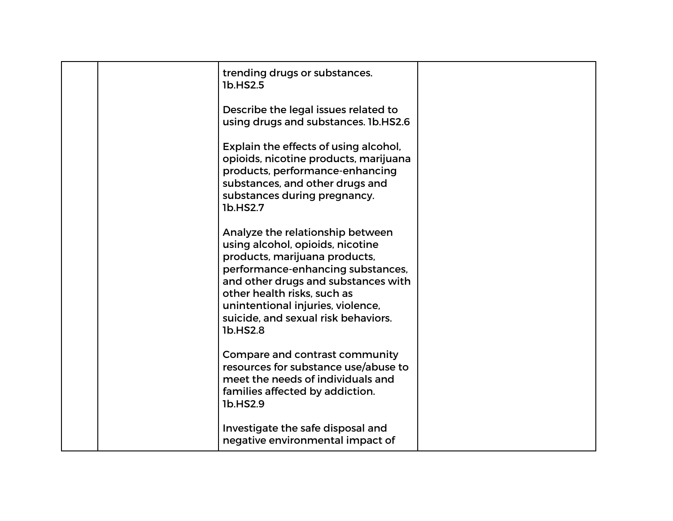|  | trending drugs or substances.<br>1b.HS2.5                                                                                                                                                                                                                                                                |  |
|--|----------------------------------------------------------------------------------------------------------------------------------------------------------------------------------------------------------------------------------------------------------------------------------------------------------|--|
|  | Describe the legal issues related to<br>using drugs and substances. 1b.HS2.6                                                                                                                                                                                                                             |  |
|  | Explain the effects of using alcohol,<br>opioids, nicotine products, marijuana<br>products, performance-enhancing<br>substances, and other drugs and<br>substances during pregnancy.<br>1b.HS2.7                                                                                                         |  |
|  | Analyze the relationship between<br>using alcohol, opioids, nicotine<br>products, marijuana products,<br>performance-enhancing substances,<br>and other drugs and substances with<br>other health risks, such as<br>unintentional injuries, violence,<br>suicide, and sexual risk behaviors.<br>1b.HS2.8 |  |
|  | Compare and contrast community<br>resources for substance use/abuse to<br>meet the needs of individuals and<br>families affected by addiction.<br>1b.HS2.9                                                                                                                                               |  |
|  | Investigate the safe disposal and<br>negative environmental impact of                                                                                                                                                                                                                                    |  |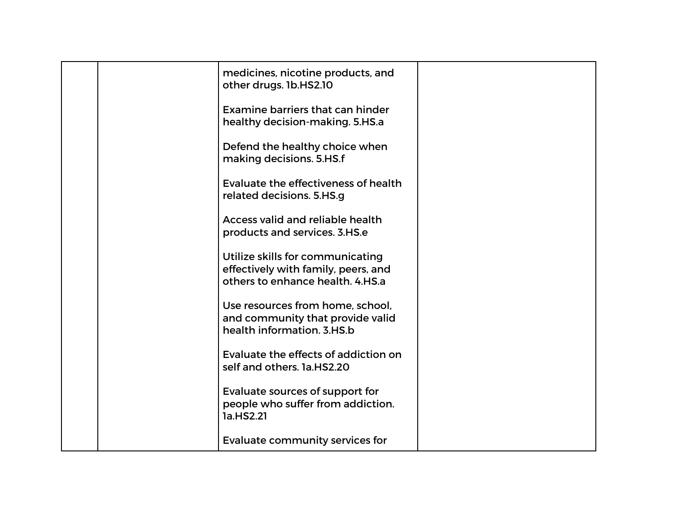|  | medicines, nicotine products, and<br>other drugs. 1b.HS2.10                                                 |  |
|--|-------------------------------------------------------------------------------------------------------------|--|
|  | Examine barriers that can hinder<br>healthy decision-making. 5.HS.a                                         |  |
|  | Defend the healthy choice when<br>making decisions. 5.HS.f                                                  |  |
|  | Evaluate the effectiveness of health<br>related decisions. 5.HS.g                                           |  |
|  | <b>Access valid and reliable health</b><br>products and services. 3.HS.e                                    |  |
|  | Utilize skills for communicating<br>effectively with family, peers, and<br>others to enhance health, 4.HS.a |  |
|  | Use resources from home, school,<br>and community that provide valid<br>health information. 3.HS.b          |  |
|  | Evaluate the effects of addiction on<br>self and others. 1a.HS2.20                                          |  |
|  | Evaluate sources of support for<br>people who suffer from addiction.<br>1a.HS2.21                           |  |
|  | <b>Evaluate community services for</b>                                                                      |  |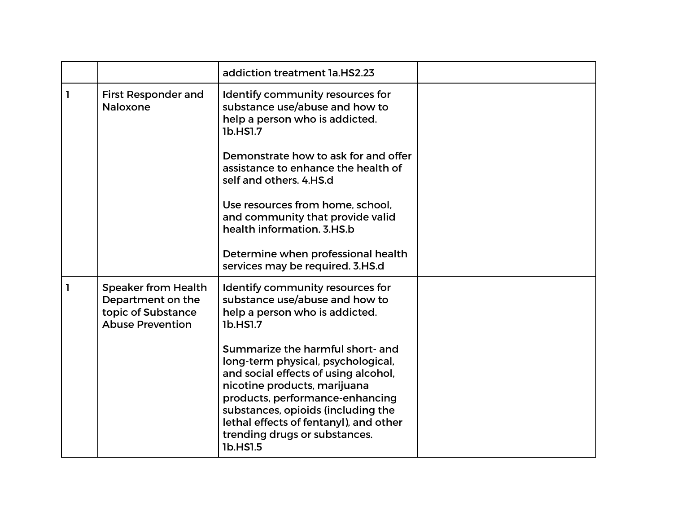|   |                                                                                                  | addiction treatment la.HS2.23                                                                                                                                                                                                                                                                                  |  |
|---|--------------------------------------------------------------------------------------------------|----------------------------------------------------------------------------------------------------------------------------------------------------------------------------------------------------------------------------------------------------------------------------------------------------------------|--|
| 1 | <b>First Responder and</b><br><b>Naloxone</b>                                                    | Identify community resources for<br>substance use/abuse and how to<br>help a person who is addicted.<br>1b.HS1.7                                                                                                                                                                                               |  |
|   |                                                                                                  | Demonstrate how to ask for and offer<br>assistance to enhance the health of<br>self and others. 4.HS.d                                                                                                                                                                                                         |  |
|   |                                                                                                  | Use resources from home, school,<br>and community that provide valid<br>health information, 3.HS.b                                                                                                                                                                                                             |  |
|   |                                                                                                  | Determine when professional health<br>services may be required. 3.HS.d                                                                                                                                                                                                                                         |  |
| 1 | <b>Speaker from Health</b><br>Department on the<br>topic of Substance<br><b>Abuse Prevention</b> | Identify community resources for<br>substance use/abuse and how to<br>help a person who is addicted.<br>1b.HS1.7                                                                                                                                                                                               |  |
|   |                                                                                                  | Summarize the harmful short- and<br>long-term physical, psychological,<br>and social effects of using alcohol,<br>nicotine products, marijuana<br>products, performance-enhancing<br>substances, opioids (including the<br>lethal effects of fentanyl), and other<br>trending drugs or substances.<br>1b.HS1.5 |  |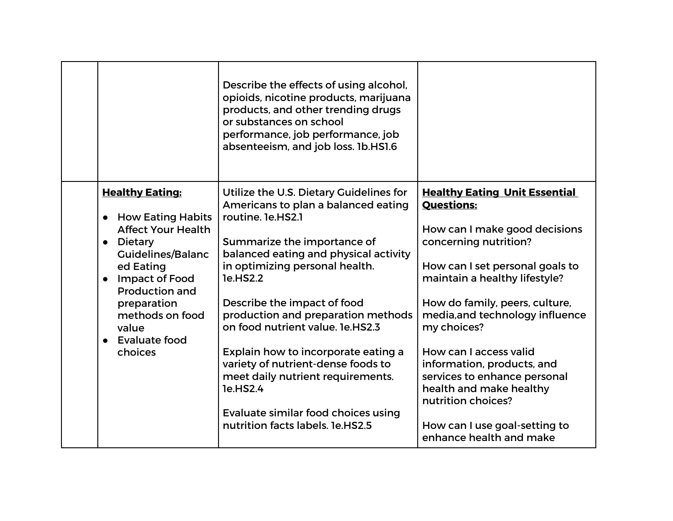|                                                                                                                                                                                                                                                             | Describe the effects of using alcohol,<br>opioids, nicotine products, marijuana<br>products, and other trending drugs<br>or substances on school<br>performance, job performance, job<br>absenteeism, and job loss. 1b.HS1.6                                                                                                                                                                                                                                                                                                                       |                                                                                                                                                                                                                                                                                                                                                                                                                                                                                  |
|-------------------------------------------------------------------------------------------------------------------------------------------------------------------------------------------------------------------------------------------------------------|----------------------------------------------------------------------------------------------------------------------------------------------------------------------------------------------------------------------------------------------------------------------------------------------------------------------------------------------------------------------------------------------------------------------------------------------------------------------------------------------------------------------------------------------------|----------------------------------------------------------------------------------------------------------------------------------------------------------------------------------------------------------------------------------------------------------------------------------------------------------------------------------------------------------------------------------------------------------------------------------------------------------------------------------|
| <b>Healthy Eating:</b><br>• How Eating Habits<br><b>Affect Your Health</b><br>• Dietary<br><b>Guidelines/Balanc</b><br>ed Eating<br><b>Impact of Food</b><br><b>Production and</b><br>preparation<br>methods on food<br>value<br>• Evaluate food<br>choices | Utilize the U.S. Dietary Guidelines for<br>Americans to plan a balanced eating<br>routine. le.HS2.1<br>Summarize the importance of<br>balanced eating and physical activity<br>in optimizing personal health.<br>1e.HS2.2<br>Describe the impact of food<br>production and preparation methods<br>on food nutrient value. 1e.HS2.3<br>Explain how to incorporate eating a<br>variety of nutrient-dense foods to<br>meet daily nutrient requirements.<br><b>1e.HS2.4</b><br>Evaluate similar food choices using<br>nutrition facts labels. 1e.HS2.5 | <b>Healthy Eating Unit Essential</b><br><b>Questions:</b><br>How can I make good decisions<br>concerning nutrition?<br>How can I set personal goals to<br>maintain a healthy lifestyle?<br>How do family, peers, culture,<br>media, and technology influence<br>my choices?<br>How can I access valid<br>information, products, and<br>services to enhance personal<br>health and make healthy<br>nutrition choices?<br>How can I use goal-setting to<br>enhance health and make |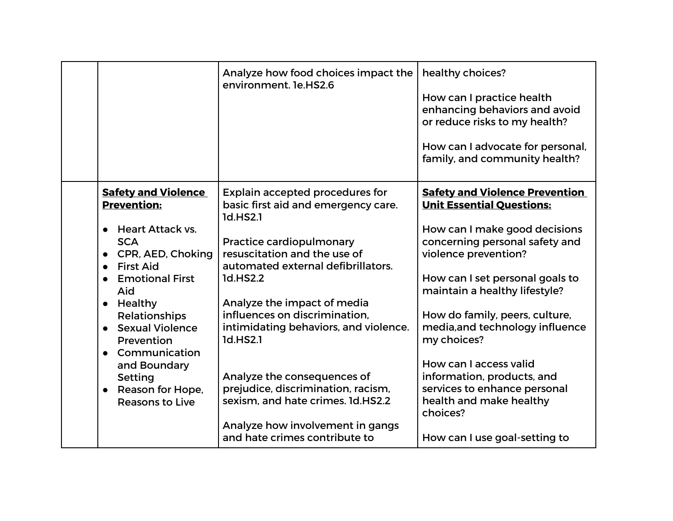| <b>Safety and Violence</b><br><b>Explain accepted procedures for</b><br><b>Prevention:</b><br><b>Unit Essential Questions:</b><br>basic first aid and emergency care.<br>1d.HS2.1<br><b>Heart Attack vs.</b><br>$\bullet$<br><b>SCA</b><br><b>Practice cardiopulmonary</b><br>resuscitation and the use of<br>violence prevention?<br>• CPR, AED, Choking<br>automated external defibrillators.<br><b>First Aid</b><br>$\bullet$<br><b>Emotional First</b><br>1d.HS2.2<br>maintain a healthy lifestyle?<br>Aid<br>Analyze the impact of media<br>• Healthy<br>influences on discrimination.<br>How do family, peers, culture,<br>Relationships<br>• Sexual Violence<br>intimidating behaviors, and violence.<br>1d.HS2.1<br>my choices?<br>Prevention<br>Communication<br>How can I access valid<br>and Boundary |  | Analyze how food choices impact the<br>environment. le.HS2.6 | healthy choices?<br>How can I practice health<br>enhancing behaviors and avoid<br>or reduce risks to my health?<br>How can I advocate for personal,<br>family, and community health? |
|------------------------------------------------------------------------------------------------------------------------------------------------------------------------------------------------------------------------------------------------------------------------------------------------------------------------------------------------------------------------------------------------------------------------------------------------------------------------------------------------------------------------------------------------------------------------------------------------------------------------------------------------------------------------------------------------------------------------------------------------------------------------------------------------------------------|--|--------------------------------------------------------------|--------------------------------------------------------------------------------------------------------------------------------------------------------------------------------------|
| Analyze the consequences of<br>information, products, and<br>Setting<br>prejudice, discrimination, racism,<br>services to enhance personal<br>Reason for Hope,<br>$\bullet$<br>sexism, and hate crimes. 1d.HS2.2<br>health and make healthy<br><b>Reasons to Live</b><br>choices?<br>Analyze how involvement in gangs<br>and hate crimes contribute to<br>How can I use goal-setting to                                                                                                                                                                                                                                                                                                                                                                                                                          |  |                                                              | <b>Safety and Violence Prevention</b><br>How can I make good decisions<br>concerning personal safety and<br>How can I set personal goals to<br>media, and technology influence       |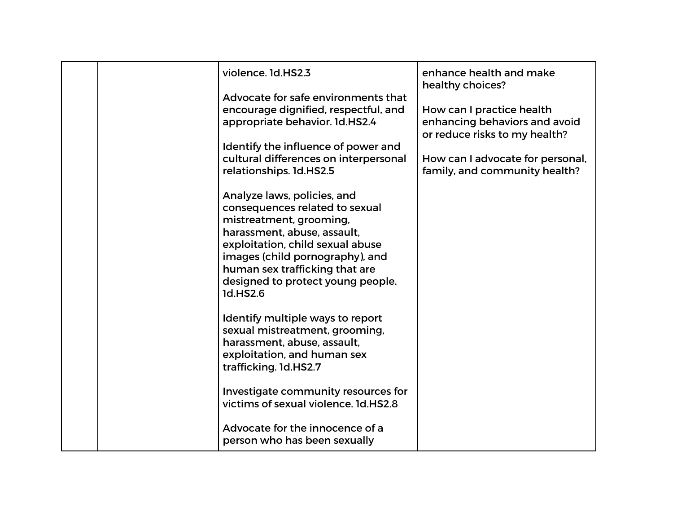| violence. 1d.HS2.3<br>Advocate for safe environments that<br>encourage dignified, respectful, and<br>appropriate behavior. 1d.HS2.4<br>Identify the influence of power and<br>cultural differences on interpersonal<br>relationships. 1d.HS2.5                                    | enhance health and make<br>healthy choices?<br>How can I practice health<br>enhancing behaviors and avoid<br>or reduce risks to my health?<br>How can I advocate for personal,<br>family, and community health? |
|-----------------------------------------------------------------------------------------------------------------------------------------------------------------------------------------------------------------------------------------------------------------------------------|-----------------------------------------------------------------------------------------------------------------------------------------------------------------------------------------------------------------|
| Analyze laws, policies, and<br>consequences related to sexual<br>mistreatment, grooming,<br>harassment, abuse, assault,<br>exploitation, child sexual abuse<br>images (child pornography), and<br>human sex trafficking that are<br>designed to protect young people.<br>1d.HS2.6 |                                                                                                                                                                                                                 |
| Identify multiple ways to report<br>sexual mistreatment, grooming,<br>harassment, abuse, assault,<br>exploitation, and human sex<br>trafficking. 1d.HS2.7                                                                                                                         |                                                                                                                                                                                                                 |
| Investigate community resources for<br>victims of sexual violence. 1d.HS2.8<br>Advocate for the innocence of a<br>person who has been sexually                                                                                                                                    |                                                                                                                                                                                                                 |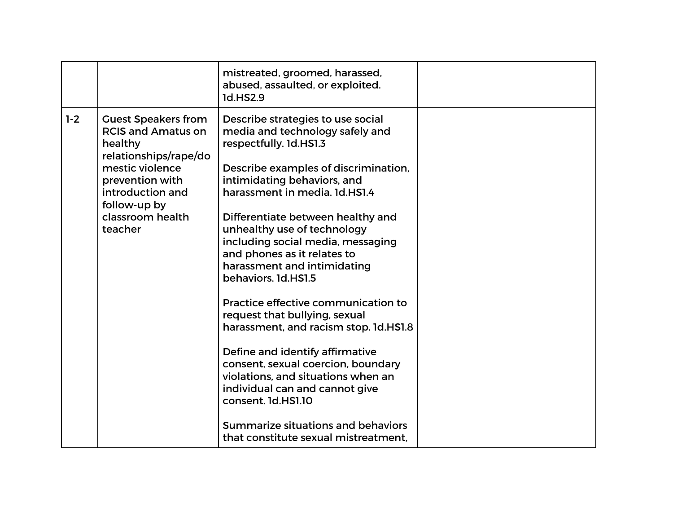|       |                                                                                                                                                                                                      | mistreated, groomed, harassed,<br>abused, assaulted, or exploited.<br>1d.HS2.9                                                                                                                                                                                                                                                                                                                                                                                                                                                                                                                                                                                                                                                                                             |  |
|-------|------------------------------------------------------------------------------------------------------------------------------------------------------------------------------------------------------|----------------------------------------------------------------------------------------------------------------------------------------------------------------------------------------------------------------------------------------------------------------------------------------------------------------------------------------------------------------------------------------------------------------------------------------------------------------------------------------------------------------------------------------------------------------------------------------------------------------------------------------------------------------------------------------------------------------------------------------------------------------------------|--|
| $1-2$ | <b>Guest Speakers from</b><br><b>RCIS and Amatus on</b><br>healthy<br>relationships/rape/do<br>mestic violence<br>prevention with<br>introduction and<br>follow-up by<br>classroom health<br>teacher | Describe strategies to use social<br>media and technology safely and<br>respectfully. 1d.HS1.3<br>Describe examples of discrimination,<br>intimidating behaviors, and<br>harassment in media. 1d.HS1.4<br>Differentiate between healthy and<br>unhealthy use of technology<br>including social media, messaging<br>and phones as it relates to<br>harassment and intimidating<br>behaviors. 1d.HS1.5<br>Practice effective communication to<br>request that bullying, sexual<br>harassment, and racism stop. 1d.HS1.8<br>Define and identify affirmative<br>consent, sexual coercion, boundary<br>violations, and situations when an<br>individual can and cannot give<br>consent. 1d.HS1.10<br>Summarize situations and behaviors<br>that constitute sexual mistreatment. |  |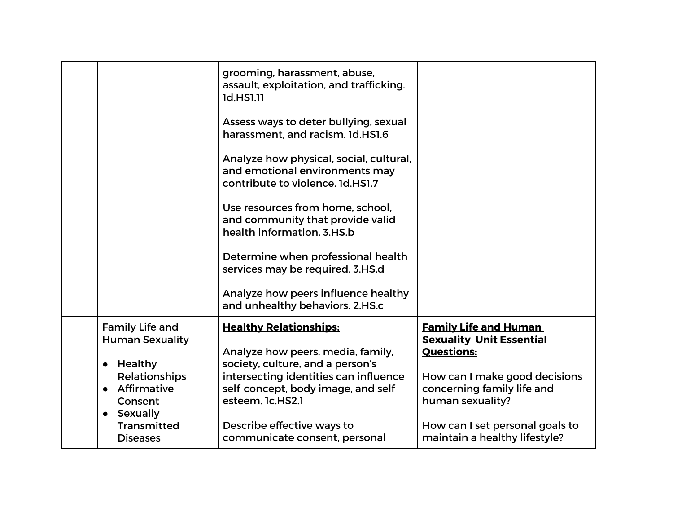|                                                                                | grooming, harassment, abuse,<br>assault, exploitation, and trafficking.<br>1d.HS1.11<br>Assess ways to deter bullying, sexual<br>harassment, and racism. Id.HS1.6<br>Analyze how physical, social, cultural,<br>and emotional environments may<br>contribute to violence, 1d.HS1.7<br>Use resources from home, school,<br>and community that provide valid<br>health information, 3.HS.b<br>Determine when professional health<br>services may be required. 3.HS.d<br>Analyze how peers influence healthy |                                                                                                                       |
|--------------------------------------------------------------------------------|-----------------------------------------------------------------------------------------------------------------------------------------------------------------------------------------------------------------------------------------------------------------------------------------------------------------------------------------------------------------------------------------------------------------------------------------------------------------------------------------------------------|-----------------------------------------------------------------------------------------------------------------------|
|                                                                                | and unhealthy behaviors. 2.HS.c                                                                                                                                                                                                                                                                                                                                                                                                                                                                           |                                                                                                                       |
| <b>Family Life and</b><br><b>Human Sexuality</b><br>• Healthy<br>Relationships | <b>Healthy Relationships:</b><br>Analyze how peers, media, family,<br>society, culture, and a person's<br>intersecting identities can influence                                                                                                                                                                                                                                                                                                                                                           | <b>Family Life and Human</b><br><b>Sexuality Unit Essential</b><br><b>Ouestions:</b><br>How can I make good decisions |
| • Affirmative<br>Consent<br>• Sexually                                         | self-concept, body image, and self-<br>esteem. 1c.HS2.1                                                                                                                                                                                                                                                                                                                                                                                                                                                   | concerning family life and<br>human sexuality?                                                                        |
| Transmitted<br><b>Diseases</b>                                                 | Describe effective ways to<br>communicate consent, personal                                                                                                                                                                                                                                                                                                                                                                                                                                               | How can I set personal goals to<br>maintain a healthy lifestyle?                                                      |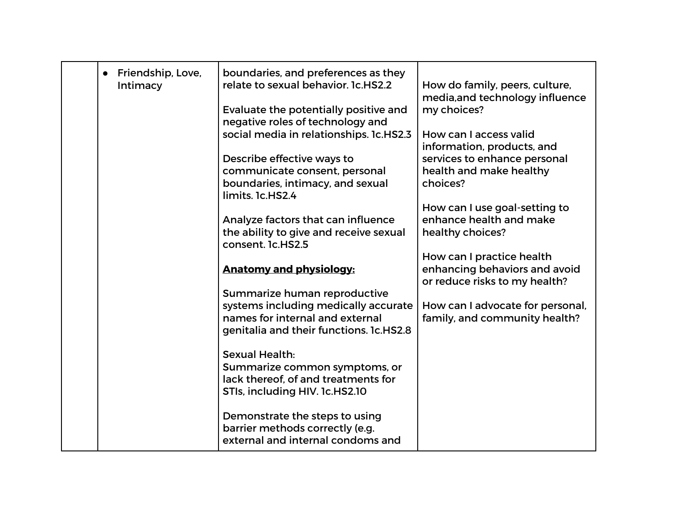| Friendship, Love,<br>Intimacy | boundaries, and preferences as they<br>relate to sexual behavior. 1c.HS2.2                                                                         | How do family, peers, culture,<br>media, and technology influence                                 |
|-------------------------------|----------------------------------------------------------------------------------------------------------------------------------------------------|---------------------------------------------------------------------------------------------------|
|                               | Evaluate the potentially positive and<br>negative roles of technology and<br>social media in relationships. 1c.HS2.3                               | my choices?<br>How can I access valid                                                             |
|                               | Describe effective ways to<br>communicate consent, personal<br>boundaries, intimacy, and sexual                                                    | information, products, and<br>services to enhance personal<br>health and make healthy<br>choices? |
|                               | limits. 1c.HS2.4                                                                                                                                   | How can I use goal-setting to                                                                     |
|                               | Analyze factors that can influence<br>the ability to give and receive sexual<br>consent. 1c.HS2.5                                                  | enhance health and make<br>healthy choices?                                                       |
|                               | <b>Anatomy and physiology:</b>                                                                                                                     | How can I practice health<br>enhancing behaviors and avoid<br>or reduce risks to my health?       |
|                               | Summarize human reproductive<br>systems including medically accurate<br>names for internal and external<br>genitalia and their functions. 1c.HS2.8 | How can I advocate for personal,<br>family, and community health?                                 |
|                               | <b>Sexual Health:</b><br>Summarize common symptoms, or<br>lack thereof, of and treatments for<br>STIs, including HIV. 1c.HS2.10                    |                                                                                                   |
|                               | Demonstrate the steps to using<br>barrier methods correctly (e.g.<br>external and internal condoms and                                             |                                                                                                   |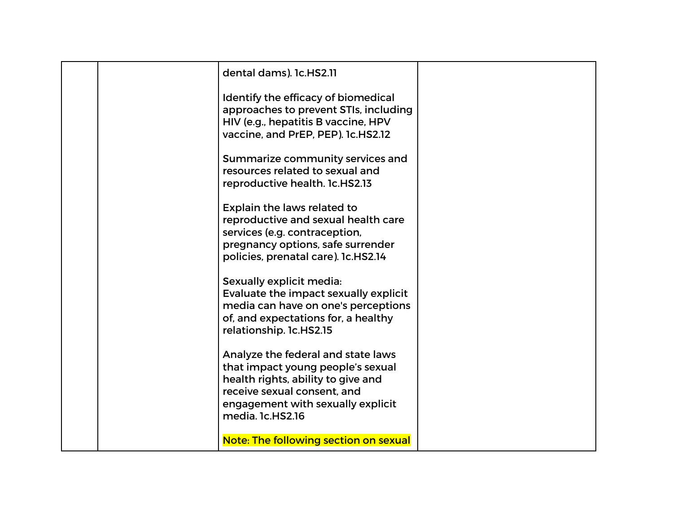| dental dams). 1c.HS2.11                                                                                                                                                                               |  |
|-------------------------------------------------------------------------------------------------------------------------------------------------------------------------------------------------------|--|
| Identify the efficacy of biomedical<br>approaches to prevent STIs, including<br>HIV (e.g., hepatitis B vaccine, HPV<br>vaccine, and PrEP, PEP). 1c.HS2.12                                             |  |
| Summarize community services and<br>resources related to sexual and<br>reproductive health. 1c.HS2.13                                                                                                 |  |
| Explain the laws related to<br>reproductive and sexual health care<br>services (e.g. contraception,<br>pregnancy options, safe surrender<br>policies, prenatal care). 1c.HS2.14                       |  |
| Sexually explicit media:<br>Evaluate the impact sexually explicit<br>media can have on one's perceptions<br>of, and expectations for, a healthy<br>relationship. 1c.HS2.15                            |  |
| Analyze the federal and state laws<br>that impact young people's sexual<br>health rights, ability to give and<br>receive sexual consent, and<br>engagement with sexually explicit<br>media. 1c.HS2.16 |  |
| Note: The following section on sexual                                                                                                                                                                 |  |